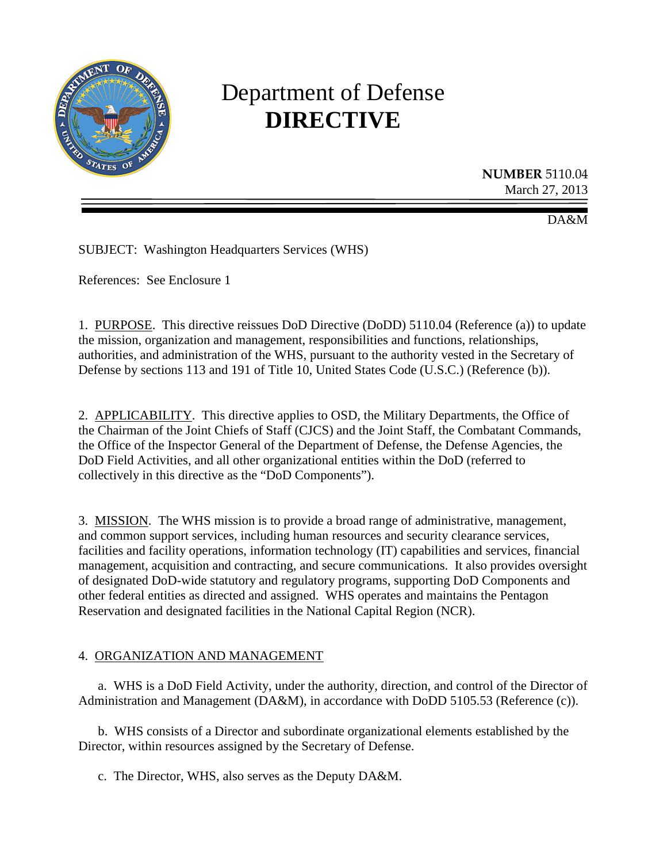

# Department of Defense **DIRECTIVE**

**NUMBER** 5110.04 March 27, 2013

DA&M

SUBJECT: Washington Headquarters Services (WHS)

References: See Enclosure 1

1. PURPOSE. This directive reissues DoD Directive (DoDD) 5110.04 (Reference (a)) to update the mission, organization and management, responsibilities and functions, relationships, authorities, and administration of the WHS, pursuant to the authority vested in the Secretary of Defense by sections 113 and 191 of Title 10, United States Code (U.S.C.) (Reference (b)).

2. APPLICABILITY. This directive applies to OSD, the Military Departments, the Office of the Chairman of the Joint Chiefs of Staff (CJCS) and the Joint Staff, the Combatant Commands, the Office of the Inspector General of the Department of Defense, the Defense Agencies, the DoD Field Activities, and all other organizational entities within the DoD (referred to collectively in this directive as the "DoD Components").

3. MISSION. The WHS mission is to provide a broad range of administrative, management, and common support services, including human resources and security clearance services, facilities and facility operations, information technology (IT) capabilities and services, financial management, acquisition and contracting, and secure communications. It also provides oversight of designated DoD-wide statutory and regulatory programs, supporting DoD Components and other federal entities as directed and assigned. WHS operates and maintains the Pentagon Reservation and designated facilities in the National Capital Region (NCR).

#### 4. ORGANIZATION AND MANAGEMENT

a. WHS is a DoD Field Activity, under the authority, direction, and control of the Director of Administration and Management (DA&M), in accordance with DoDD 5105.53 (Reference (c)).

b. WHS consists of a Director and subordinate organizational elements established by the Director, within resources assigned by the Secretary of Defense.

c. The Director, WHS, also serves as the Deputy DA&M.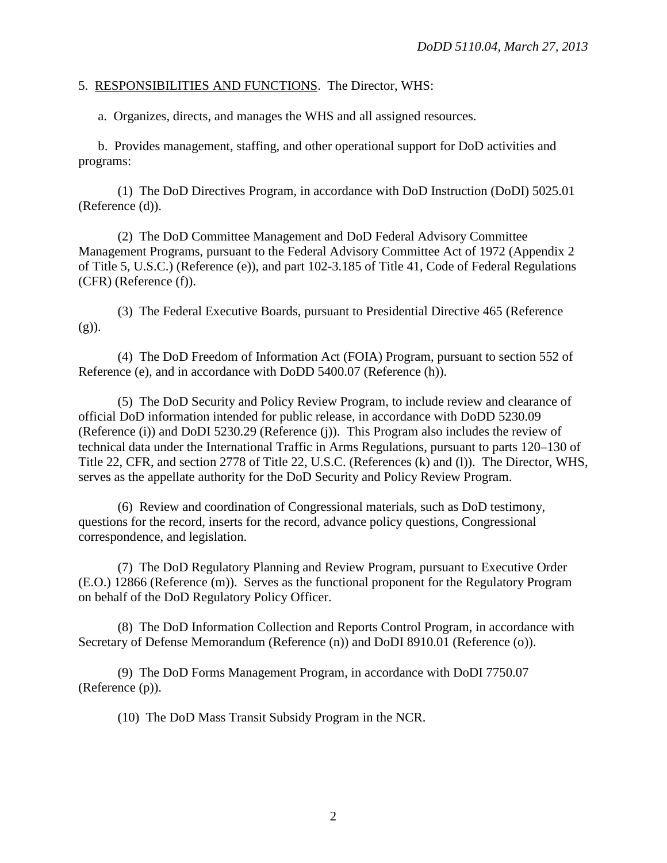#### 5. RESPONSIBILITIES AND FUNCTIONS. The Director, WHS:

a. Organizes, directs, and manages the WHS and all assigned resources.

b. Provides management, staffing, and other operational support for DoD activities and programs:

(1) The DoD Directives Program, in accordance with DoD Instruction (DoDI) 5025.01 (Reference (d)).

(2) The DoD Committee Management and DoD Federal Advisory Committee Management Programs, pursuant to the Federal Advisory Committee Act of 1972 (Appendix 2 of Title 5, U.S.C.) (Reference (e)), and part 102-3.185 of Title 41, Code of Federal Regulations (CFR) (Reference (f)).

(3) The Federal Executive Boards, pursuant to Presidential Directive 465 (Reference  $(g)$ ).

(4) The DoD Freedom of Information Act (FOIA) Program, pursuant to section 552 of Reference (e), and in accordance with DoDD 5400.07 (Reference (h)).

(5) The DoD Security and Policy Review Program, to include review and clearance of official DoD information intended for public release, in accordance with DoDD 5230.09 (Reference (i)) and DoDI 5230.29 (Reference (j)). This Program also includes the review of technical data under the International Traffic in Arms Regulations, pursuant to parts 120–130 of Title 22, CFR, and section 2778 of Title 22, U.S.C. (References (k) and (l)). The Director, WHS, serves as the appellate authority for the DoD Security and Policy Review Program.

(6) Review and coordination of Congressional materials, such as DoD testimony, questions for the record, inserts for the record, advance policy questions, Congressional correspondence, and legislation.

(7) The DoD Regulatory Planning and Review Program, pursuant to Executive Order (E.O.) 12866 (Reference (m)). Serves as the functional proponent for the Regulatory Program on behalf of the DoD Regulatory Policy Officer.

(8) The DoD Information Collection and Reports Control Program, in accordance with Secretary of Defense Memorandum (Reference (n)) and DoDI 8910.01 (Reference (o)).

(9) The DoD Forms Management Program, in accordance with DoDI 7750.07 (Reference (p)).

(10) The DoD Mass Transit Subsidy Program in the NCR.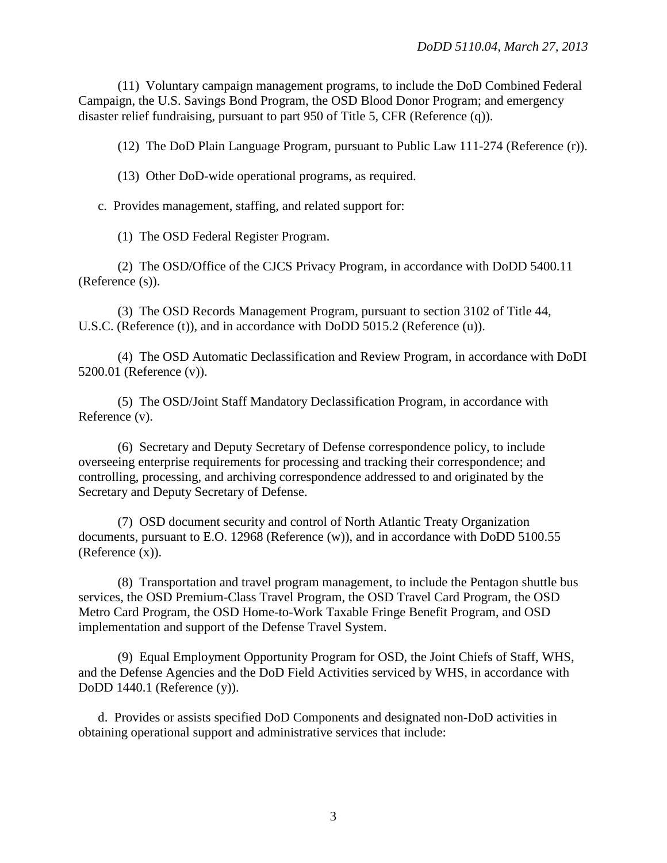(11) Voluntary campaign management programs, to include the DoD Combined Federal Campaign, the U.S. Savings Bond Program, the OSD Blood Donor Program; and emergency disaster relief fundraising, pursuant to part 950 of Title 5, CFR (Reference (q)).

(12) The DoD Plain Language Program, pursuant to Public Law 111-274 (Reference (r)).

(13) Other DoD-wide operational programs, as required.

c. Provides management, staffing, and related support for:

(1) The OSD Federal Register Program.

(2) The OSD/Office of the CJCS Privacy Program, in accordance with DoDD 5400.11 (Reference (s)).

(3) The OSD Records Management Program, pursuant to section 3102 of Title 44, U.S.C. (Reference (t)), and in accordance with DoDD 5015.2 (Reference (u)).

(4) The OSD Automatic Declassification and Review Program, in accordance with DoDI 5200.01 (Reference (v)).

(5) The OSD/Joint Staff Mandatory Declassification Program, in accordance with Reference (v).

(6) Secretary and Deputy Secretary of Defense correspondence policy, to include overseeing enterprise requirements for processing and tracking their correspondence; and controlling, processing, and archiving correspondence addressed to and originated by the Secretary and Deputy Secretary of Defense.

(7) OSD document security and control of North Atlantic Treaty Organization documents, pursuant to E.O. 12968 (Reference (w)), and in accordance with DoDD 5100.55 (Reference (x)).

(8) Transportation and travel program management, to include the Pentagon shuttle bus services, the OSD Premium-Class Travel Program, the OSD Travel Card Program, the OSD Metro Card Program, the OSD Home-to-Work Taxable Fringe Benefit Program, and OSD implementation and support of the Defense Travel System.

(9) Equal Employment Opportunity Program for OSD, the Joint Chiefs of Staff, WHS, and the Defense Agencies and the DoD Field Activities serviced by WHS, in accordance with DoDD 1440.1 (Reference (y)).

d. Provides or assists specified DoD Components and designated non-DoD activities in obtaining operational support and administrative services that include: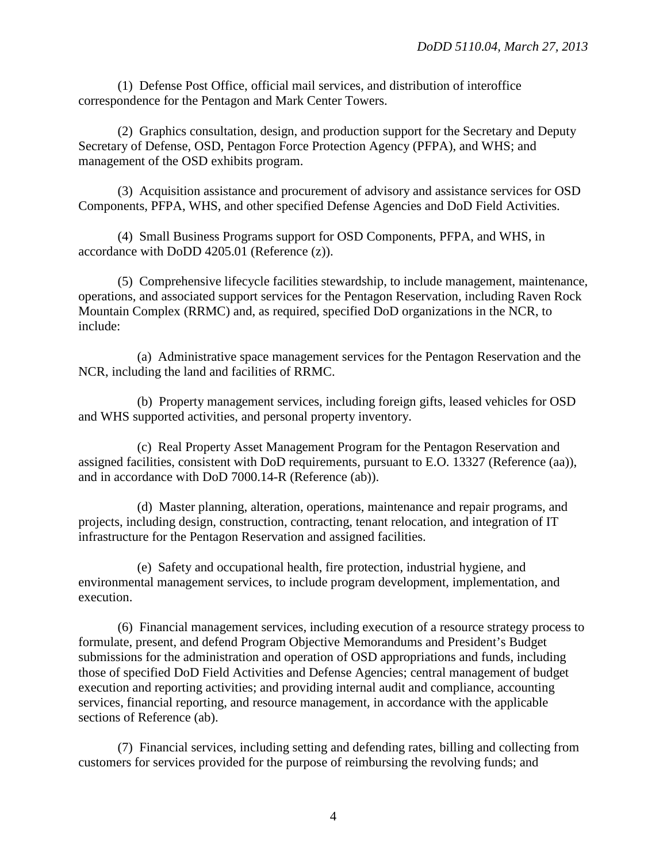(1) Defense Post Office, official mail services, and distribution of interoffice correspondence for the Pentagon and Mark Center Towers.

(2) Graphics consultation, design, and production support for the Secretary and Deputy Secretary of Defense, OSD, Pentagon Force Protection Agency (PFPA), and WHS; and management of the OSD exhibits program.

(3) Acquisition assistance and procurement of advisory and assistance services for OSD Components, PFPA, WHS, and other specified Defense Agencies and DoD Field Activities.

(4) Small Business Programs support for OSD Components, PFPA, and WHS, in accordance with DoDD 4205.01 (Reference (z)).

(5) Comprehensive lifecycle facilities stewardship, to include management, maintenance, operations, and associated support services for the Pentagon Reservation, including Raven Rock Mountain Complex (RRMC) and, as required, specified DoD organizations in the NCR, to include:

(a) Administrative space management services for the Pentagon Reservation and the NCR, including the land and facilities of RRMC.

(b) Property management services, including foreign gifts, leased vehicles for OSD and WHS supported activities, and personal property inventory.

(c) Real Property Asset Management Program for the Pentagon Reservation and assigned facilities, consistent with DoD requirements, pursuant to E.O. 13327 (Reference (aa)), and in accordance with DoD 7000.14-R (Reference (ab)).

(d) Master planning, alteration, operations, maintenance and repair programs, and projects, including design, construction, contracting, tenant relocation, and integration of IT infrastructure for the Pentagon Reservation and assigned facilities.

(e) Safety and occupational health, fire protection, industrial hygiene, and environmental management services, to include program development, implementation, and execution.

(6) Financial management services, including execution of a resource strategy process to formulate, present, and defend Program Objective Memorandums and President's Budget submissions for the administration and operation of OSD appropriations and funds, including those of specified DoD Field Activities and Defense Agencies; central management of budget execution and reporting activities; and providing internal audit and compliance, accounting services, financial reporting, and resource management, in accordance with the applicable sections of Reference (ab).

(7) Financial services, including setting and defending rates, billing and collecting from customers for services provided for the purpose of reimbursing the revolving funds; and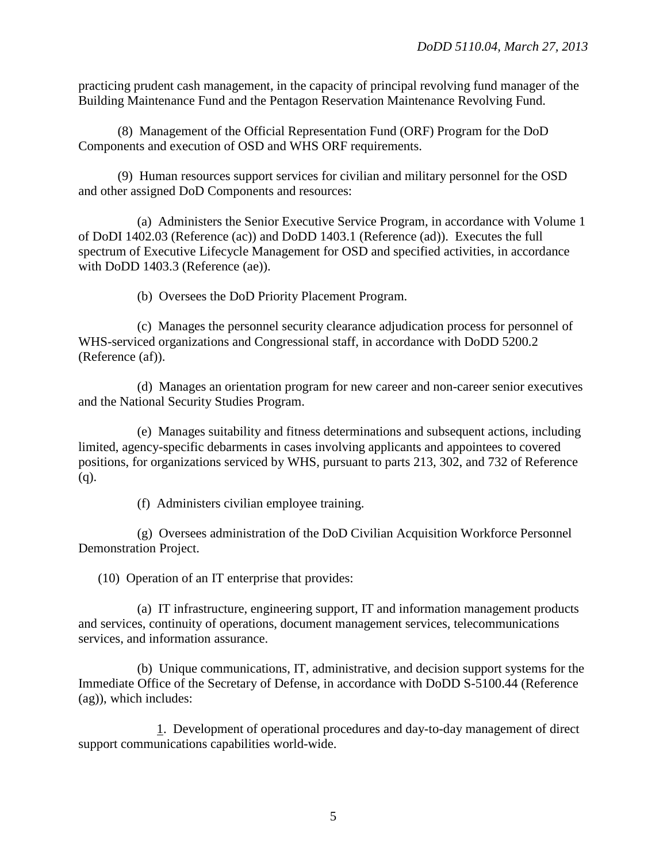practicing prudent cash management, in the capacity of principal revolving fund manager of the Building Maintenance Fund and the Pentagon Reservation Maintenance Revolving Fund.

(8) Management of the Official Representation Fund (ORF) Program for the DoD Components and execution of OSD and WHS ORF requirements.

(9) Human resources support services for civilian and military personnel for the OSD and other assigned DoD Components and resources:

(a) Administers the Senior Executive Service Program, in accordance with Volume 1 of DoDI 1402.03 (Reference (ac)) and DoDD 1403.1 (Reference (ad)). Executes the full spectrum of Executive Lifecycle Management for OSD and specified activities, in accordance with DoDD 1403.3 (Reference (ae)).

(b) Oversees the DoD Priority Placement Program.

(c) Manages the personnel security clearance adjudication process for personnel of WHS-serviced organizations and Congressional staff, in accordance with DoDD 5200.2 (Reference (af)).

(d) Manages an orientation program for new career and non-career senior executives and the National Security Studies Program.

(e) Manages suitability and fitness determinations and subsequent actions, including limited, agency-specific debarments in cases involving applicants and appointees to covered positions, for organizations serviced by WHS, pursuant to parts 213, 302, and 732 of Reference  $(q)$ .

(f) Administers civilian employee training.

(g) Oversees administration of the DoD Civilian Acquisition Workforce Personnel Demonstration Project.

(10) Operation of an IT enterprise that provides:

(a) IT infrastructure, engineering support, IT and information management products and services, continuity of operations, document management services, telecommunications services, and information assurance.

(b) Unique communications, IT, administrative, and decision support systems for the Immediate Office of the Secretary of Defense, in accordance with DoDD S-5100.44 (Reference (ag)), which includes:

1. Development of operational procedures and day-to-day management of direct support communications capabilities world-wide.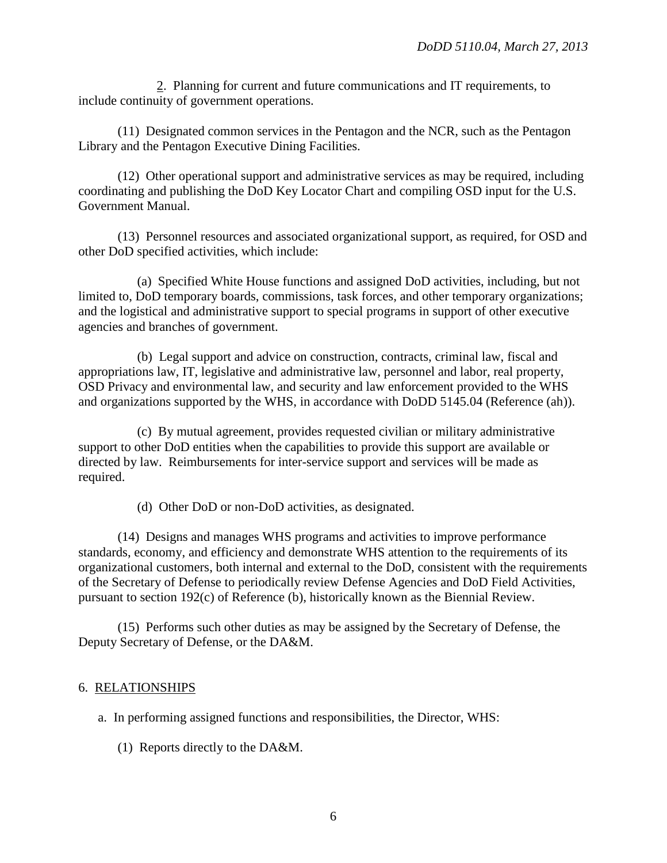2. Planning for current and future communications and IT requirements, to include continuity of government operations.

(11) Designated common services in the Pentagon and the NCR, such as the Pentagon Library and the Pentagon Executive Dining Facilities.

(12) Other operational support and administrative services as may be required, including coordinating and publishing the DoD Key Locator Chart and compiling OSD input for the U.S. Government Manual.

(13) Personnel resources and associated organizational support, as required, for OSD and other DoD specified activities, which include:

(a) Specified White House functions and assigned DoD activities, including, but not limited to, DoD temporary boards, commissions, task forces, and other temporary organizations; and the logistical and administrative support to special programs in support of other executive agencies and branches of government.

(b) Legal support and advice on construction, contracts, criminal law, fiscal and appropriations law, IT, legislative and administrative law, personnel and labor, real property, OSD Privacy and environmental law, and security and law enforcement provided to the WHS and organizations supported by the WHS, in accordance with DoDD 5145.04 (Reference (ah)).

(c) By mutual agreement, provides requested civilian or military administrative support to other DoD entities when the capabilities to provide this support are available or directed by law. Reimbursements for inter-service support and services will be made as required.

(d) Other DoD or non-DoD activities, as designated.

(14) Designs and manages WHS programs and activities to improve performance standards, economy, and efficiency and demonstrate WHS attention to the requirements of its organizational customers, both internal and external to the DoD, consistent with the requirements of the Secretary of Defense to periodically review Defense Agencies and DoD Field Activities, pursuant to section 192(c) of Reference (b), historically known as the Biennial Review.

(15) Performs such other duties as may be assigned by the Secretary of Defense, the Deputy Secretary of Defense, or the DA&M.

#### 6. RELATIONSHIPS

a. In performing assigned functions and responsibilities, the Director, WHS:

(1) Reports directly to the DA&M.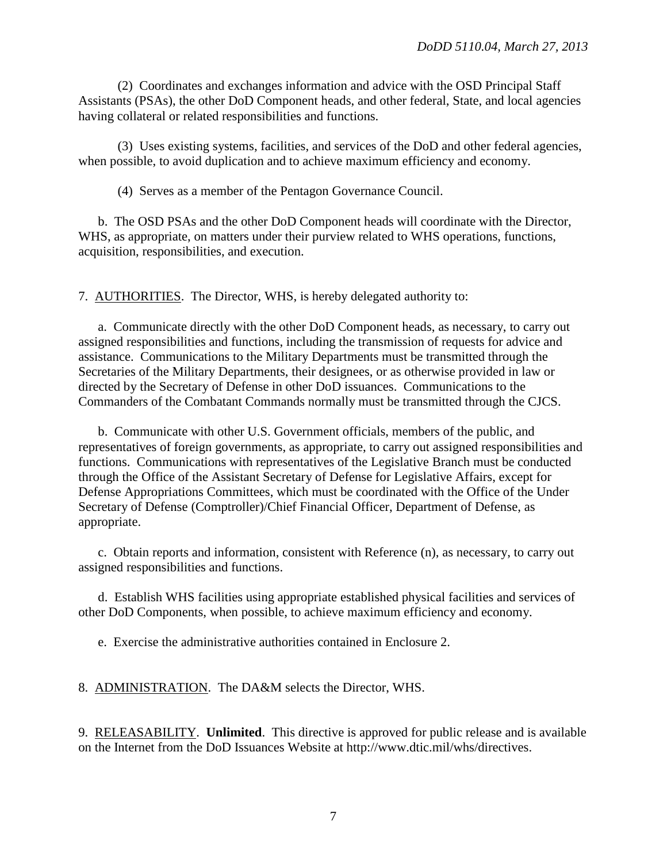(2) Coordinates and exchanges information and advice with the OSD Principal Staff Assistants (PSAs), the other DoD Component heads, and other federal, State, and local agencies having collateral or related responsibilities and functions.

(3) Uses existing systems, facilities, and services of the DoD and other federal agencies, when possible, to avoid duplication and to achieve maximum efficiency and economy.

(4) Serves as a member of the Pentagon Governance Council.

b. The OSD PSAs and the other DoD Component heads will coordinate with the Director, WHS, as appropriate, on matters under their purview related to WHS operations, functions, acquisition, responsibilities, and execution.

7. AUTHORITIES. The Director, WHS, is hereby delegated authority to:

a. Communicate directly with the other DoD Component heads, as necessary, to carry out assigned responsibilities and functions, including the transmission of requests for advice and assistance. Communications to the Military Departments must be transmitted through the Secretaries of the Military Departments, their designees, or as otherwise provided in law or directed by the Secretary of Defense in other DoD issuances. Communications to the Commanders of the Combatant Commands normally must be transmitted through the CJCS.

b. Communicate with other U.S. Government officials, members of the public, and representatives of foreign governments, as appropriate, to carry out assigned responsibilities and functions. Communications with representatives of the Legislative Branch must be conducted through the Office of the Assistant Secretary of Defense for Legislative Affairs, except for Defense Appropriations Committees, which must be coordinated with the Office of the Under Secretary of Defense (Comptroller)/Chief Financial Officer, Department of Defense, as appropriate.

c. Obtain reports and information, consistent with Reference (n), as necessary, to carry out assigned responsibilities and functions.

d. Establish WHS facilities using appropriate established physical facilities and services of other DoD Components, when possible, to achieve maximum efficiency and economy.

e. Exercise the administrative authorities contained in Enclosure 2.

8. ADMINISTRATION. The DA&M selects the Director, WHS.

9. RELEASABILITY. **Unlimited**. This directive is approved for public release and is available on the Internet from the DoD Issuances Website at [http://www.dtic.mil/whs/directives.](http://www.dtic.mil/whs/directives)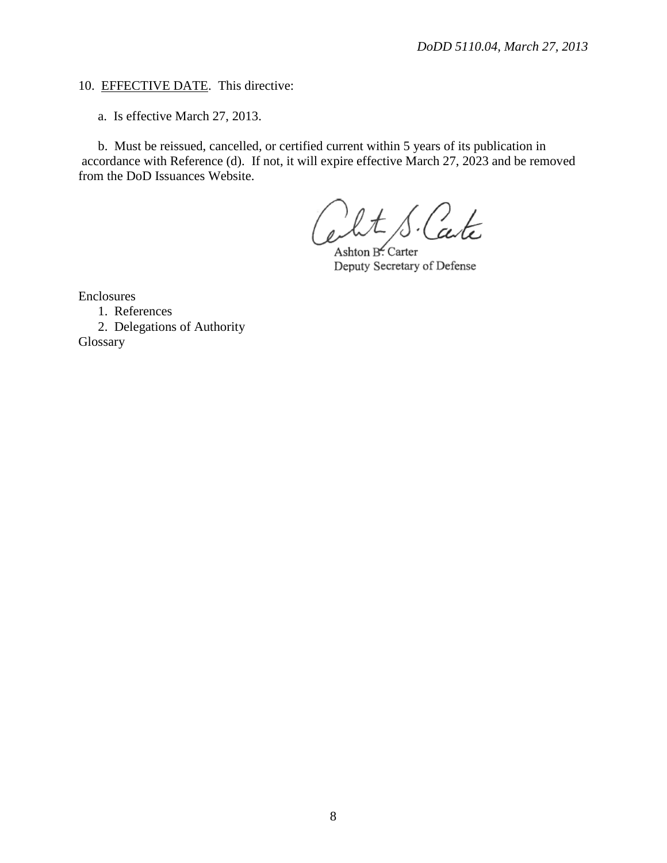### 10. EFFECTIVE DATE. This directive:

a. Is effective March 27, 2013.

b. Must be reissued, cancelled, or certified current within 5 years of its publication in accordance with Reference (d). If not, it will expire effective March 27, 2023 and be removed from the DoD Issuances Website.

'Cate

Ashton B. Carter Deputy Secretary of Defense

Enclosures

1. References

2. Delegations of Authority Glossary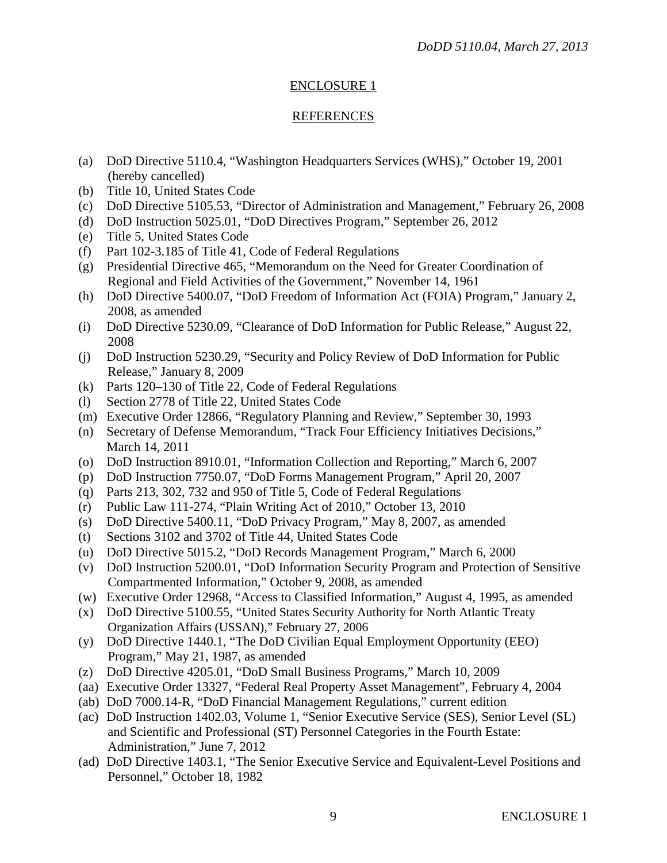## ENCLOSURE 1

## REFERENCES

- (a) DoD Directive 5110.4, "Washington Headquarters Services (WHS)," October 19, 2001 (hereby cancelled)
- (b) Title 10, United States Code
- (c) DoD Directive 5105.53, "Director of Administration and Management," February 26, 2008
- (d) DoD Instruction 5025.01, "DoD Directives Program," September 26, 2012
- (e) Title 5, United States Code
- (f) Part 102-3.185 of Title 41, Code of Federal Regulations
- (g) Presidential Directive 465, "Memorandum on the Need for Greater Coordination of Regional and Field Activities of the Government," November 14, 1961
- (h) DoD Directive 5400.07, "DoD Freedom of Information Act (FOIA) Program," January 2, 2008, as amended
- (i) DoD Directive 5230.09, "Clearance of DoD Information for Public Release," August 22, 2008
- (j) DoD Instruction 5230.29, "Security and Policy Review of DoD Information for Public Release," January 8, 2009
- (k) Parts 120–130 of Title 22, Code of Federal Regulations
- (l) Section 2778 of Title 22, United States Code
- (m) Executive Order 12866, "Regulatory Planning and Review," September 30, 1993
- (n) Secretary of Defense Memorandum, "Track Four Efficiency Initiatives Decisions," March 14, 2011
- (o) DoD Instruction 8910.01, "Information Collection and Reporting," March 6, 2007
- (p) DoD Instruction 7750.07, "DoD Forms Management Program," April 20, 2007
- (q) Parts 213, 302, 732 and 950 of Title 5, Code of Federal Regulations
- (r) Public Law 111-274, "Plain Writing Act of 2010," October 13, 2010
- (s) DoD Directive 5400.11, "DoD Privacy Program," May 8, 2007, as amended
- (t) Sections 3102 and 3702 of Title 44, United States Code
- (u) DoD Directive 5015.2, "DoD Records Management Program," March 6, 2000
- (v) DoD Instruction 5200.01, "DoD Information Security Program and Protection of Sensitive Compartmented Information," October 9, 2008, as amended
- (w) Executive Order 12968, "Access to Classified Information," August 4, 1995, as amended
- (x) DoD Directive 5100.55, "United States Security Authority for North Atlantic Treaty Organization Affairs (USSAN)," February 27, 2006
- (y) DoD Directive 1440.1, "The DoD Civilian Equal Employment Opportunity (EEO) Program," May 21, 1987, as amended
- (z) DoD Directive 4205.01, "DoD Small Business Programs," March 10, 2009
- (aa) Executive Order 13327, "Federal Real Property Asset Management", February 4, 2004
- (ab) DoD 7000.14-R, "DoD Financial Management Regulations," current edition
- (ac) DoD Instruction 1402.03, Volume 1, "Senior Executive Service (SES), Senior Level (SL) and Scientific and Professional (ST) Personnel Categories in the Fourth Estate: Administration," June 7, 2012
- (ad) DoD Directive 1403.1, "The Senior Executive Service and Equivalent-Level Positions and Personnel," October 18, 1982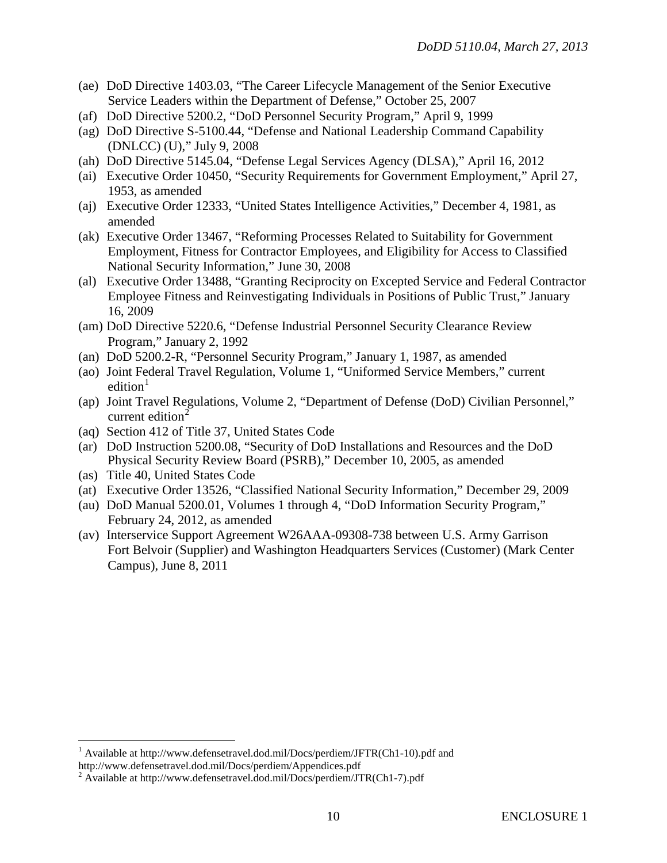- (ae) DoD Directive 1403.03, "The Career Lifecycle Management of the Senior Executive Service Leaders within the Department of Defense," October 25, 2007
- (af) DoD Directive 5200.2, "DoD Personnel Security Program," April 9, 1999
- (ag) DoD Directive S-5100.44, "Defense and National Leadership Command Capability (DNLCC) (U)," July 9, 2008
- (ah) DoD Directive 5145.04, "Defense Legal Services Agency (DLSA)," April 16, 2012
- (ai) Executive Order 10450, "Security Requirements for Government Employment," April 27, 1953, as amended
- (aj) Executive Order 12333, "United States Intelligence Activities," December 4, 1981, as amended
- (ak) Executive Order 13467, "Reforming Processes Related to Suitability for Government Employment, Fitness for Contractor Employees, and Eligibility for Access to Classified National Security Information," June 30, 2008
- (al) Executive Order 13488, "Granting Reciprocity on Excepted Service and Federal Contractor Employee Fitness and Reinvestigating Individuals in Positions of Public Trust," January 16, 2009
- (am) DoD Directive 5220.6, "Defense Industrial Personnel Security Clearance Review Program," January 2, 1992
- (an) DoD 5200.2-R, "Personnel Security Program," January 1, 1987, as amended
- (ao) Joint Federal Travel Regulation, Volume 1, "Uniformed Service Members," current edition $1$
- (ap) Joint Travel Regulations, Volume 2, "Department of Defense (DoD) Civilian Personnel," current edition $2$
- (aq) Section 412 of Title 37, United States Code
- (ar) DoD Instruction 5200.08, "Security of DoD Installations and Resources and the DoD Physical Security Review Board (PSRB)," December 10, 2005, as amended
- (as) Title 40, United States Code
- (at) Executive Order 13526, "Classified National Security Information," December 29, 2009
- (au) DoD Manual 5200.01, Volumes 1 through 4, "DoD Information Security Program," February 24, 2012, as amended
- (av) Interservice Support Agreement W26AAA-09308-738 between U.S. Army Garrison Fort Belvoir (Supplier) and Washington Headquarters Services (Customer) (Mark Center Campus), June 8, 2011

<span id="page-9-0"></span><sup>&</sup>lt;sup>1</sup> Available at http:/[/www.defensetravel.dod.mil/Docs/perdiem/JFTR\(Ch1-10\).pdf](http://www.defensetravel.dod.mil/Docs/perdiem/JFTR(Ch1-10).pdf) and http://www.defensetravel.dod.mil/Docs/perdiem/Appendices.pdf

<span id="page-9-1"></span> $2$  Available at http://www.defensetravel.dod.mil/Docs/perdiem/JTR(Ch1-7).pdf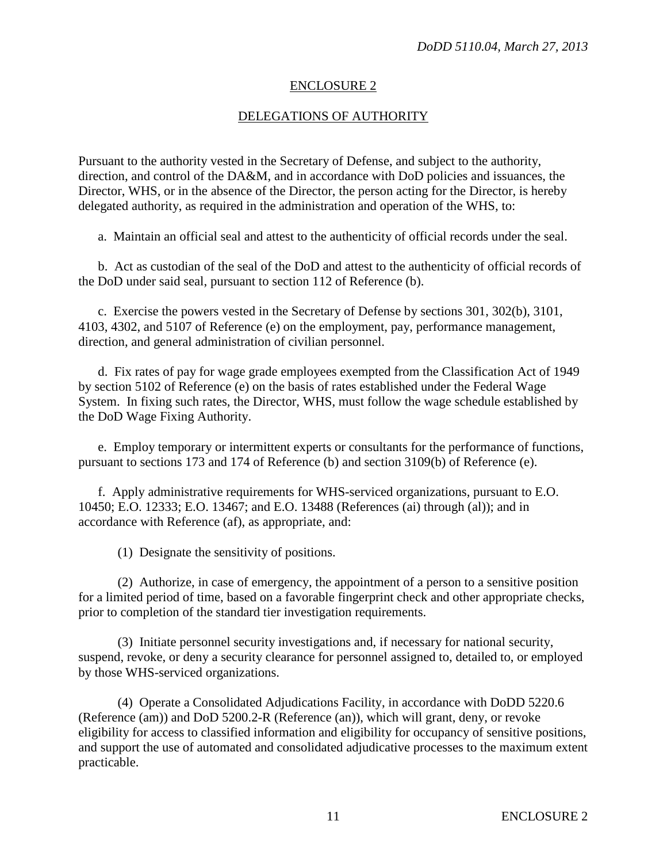#### ENCLOSURE 2

#### DELEGATIONS OF AUTHORITY

Pursuant to the authority vested in the Secretary of Defense, and subject to the authority, direction, and control of the DA&M, and in accordance with DoD policies and issuances, the Director, WHS, or in the absence of the Director, the person acting for the Director, is hereby delegated authority, as required in the administration and operation of the WHS, to:

a. Maintain an official seal and attest to the authenticity of official records under the seal.

b. Act as custodian of the seal of the DoD and attest to the authenticity of official records of the DoD under said seal, pursuant to section 112 of Reference (b).

c. Exercise the powers vested in the Secretary of Defense by sections 301, 302(b), 3101, 4103, 4302, and 5107 of Reference (e) on the employment, pay, performance management, direction, and general administration of civilian personnel.

d. Fix rates of pay for wage grade employees exempted from the Classification Act of 1949 by section 5102 of Reference (e) on the basis of rates established under the Federal Wage System. In fixing such rates, the Director, WHS, must follow the wage schedule established by the DoD Wage Fixing Authority.

e. Employ temporary or intermittent experts or consultants for the performance of functions, pursuant to sections 173 and 174 of Reference (b) and section 3109(b) of Reference (e).

f. Apply administrative requirements for WHS-serviced organizations, pursuant to E.O. 10450; E.O. 12333; E.O. 13467; and E.O. 13488 (References (ai) through (al)); and in accordance with Reference (af), as appropriate, and:

(1) Designate the sensitivity of positions.

(2) Authorize, in case of emergency, the appointment of a person to a sensitive position for a limited period of time, based on a favorable fingerprint check and other appropriate checks, prior to completion of the standard tier investigation requirements.

(3) Initiate personnel security investigations and, if necessary for national security, suspend, revoke, or deny a security clearance for personnel assigned to, detailed to, or employed by those WHS-serviced organizations.

(4) Operate a Consolidated Adjudications Facility, in accordance with DoDD 5220.6 (Reference (am)) and DoD 5200.2-R (Reference (an)), which will grant, deny, or revoke eligibility for access to classified information and eligibility for occupancy of sensitive positions, and support the use of automated and consolidated adjudicative processes to the maximum extent practicable.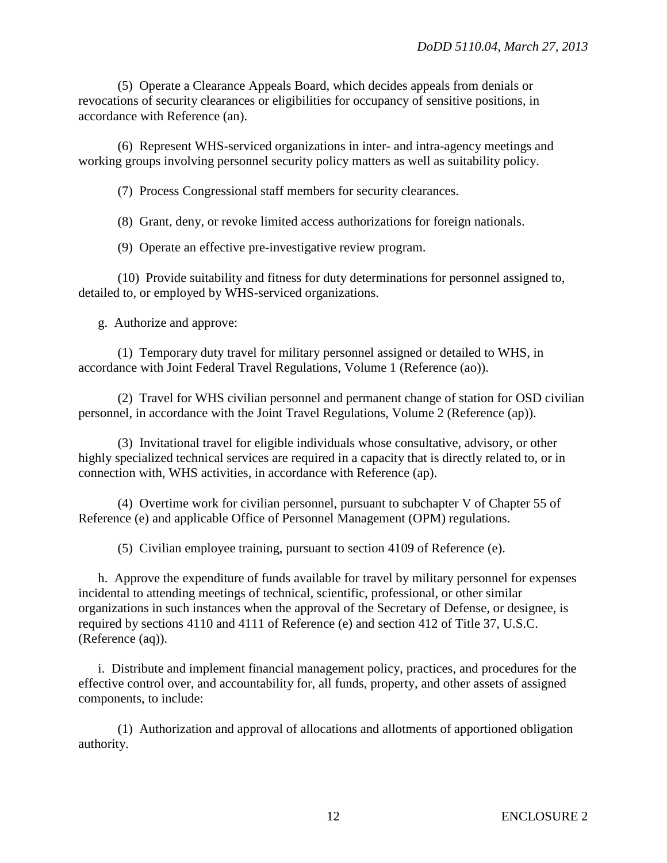(5) Operate a Clearance Appeals Board, which decides appeals from denials or revocations of security clearances or eligibilities for occupancy of sensitive positions, in accordance with Reference (an).

(6) Represent WHS-serviced organizations in inter- and intra-agency meetings and working groups involving personnel security policy matters as well as suitability policy.

(7) Process Congressional staff members for security clearances.

(8) Grant, deny, or revoke limited access authorizations for foreign nationals.

(9) Operate an effective pre-investigative review program.

(10) Provide suitability and fitness for duty determinations for personnel assigned to, detailed to, or employed by WHS-serviced organizations.

g. Authorize and approve:

(1) Temporary duty travel for military personnel assigned or detailed to WHS, in accordance with Joint Federal Travel Regulations, Volume 1 (Reference (ao)).

(2) Travel for WHS civilian personnel and permanent change of station for OSD civilian personnel, in accordance with the Joint Travel Regulations, Volume 2 (Reference (ap)).

(3) Invitational travel for eligible individuals whose consultative, advisory, or other highly specialized technical services are required in a capacity that is directly related to, or in connection with, WHS activities, in accordance with Reference (ap).

(4) Overtime work for civilian personnel, pursuant to subchapter V of Chapter 55 of Reference (e) and applicable Office of Personnel Management (OPM) regulations.

(5) Civilian employee training, pursuant to section 4109 of Reference (e).

h. Approve the expenditure of funds available for travel by military personnel for expenses incidental to attending meetings of technical, scientific, professional, or other similar organizations in such instances when the approval of the Secretary of Defense, or designee, is required by sections 4110 and 4111 of Reference (e) and section 412 of Title 37, U.S.C. (Reference (aq)).

i. Distribute and implement financial management policy, practices, and procedures for the effective control over, and accountability for, all funds, property, and other assets of assigned components, to include:

(1) Authorization and approval of allocations and allotments of apportioned obligation authority.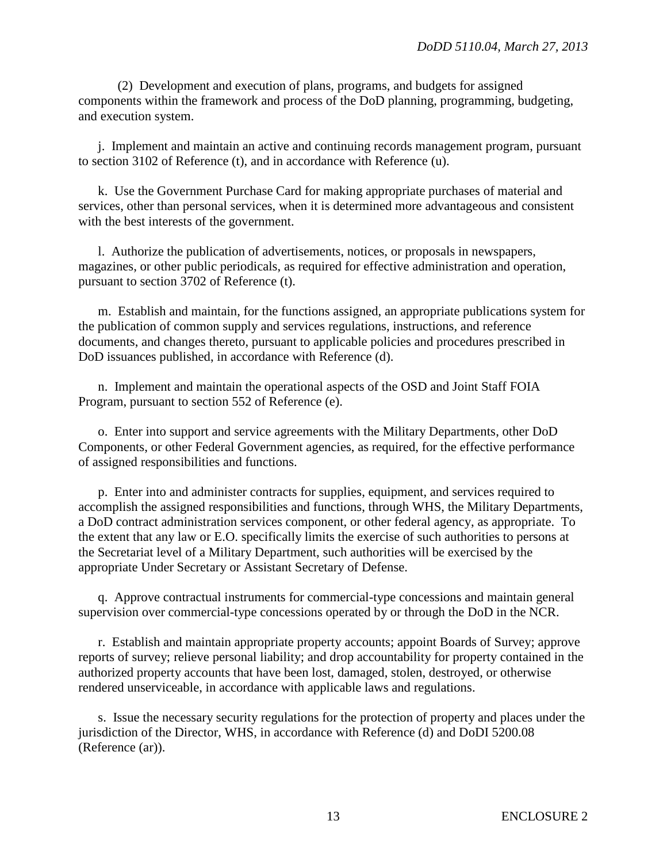(2) Development and execution of plans, programs, and budgets for assigned components within the framework and process of the DoD planning, programming, budgeting, and execution system.

j. Implement and maintain an active and continuing records management program, pursuant to section 3102 of Reference (t), and in accordance with Reference (u).

k. Use the Government Purchase Card for making appropriate purchases of material and services, other than personal services, when it is determined more advantageous and consistent with the best interests of the government.

l. Authorize the publication of advertisements, notices, or proposals in newspapers, magazines, or other public periodicals, as required for effective administration and operation, pursuant to section 3702 of Reference (t).

m. Establish and maintain, for the functions assigned, an appropriate publications system for the publication of common supply and services regulations, instructions, and reference documents, and changes thereto, pursuant to applicable policies and procedures prescribed in DoD issuances published, in accordance with Reference (d).

n. Implement and maintain the operational aspects of the OSD and Joint Staff FOIA Program, pursuant to section 552 of Reference (e).

o. Enter into support and service agreements with the Military Departments, other DoD Components, or other Federal Government agencies, as required, for the effective performance of assigned responsibilities and functions.

p. Enter into and administer contracts for supplies, equipment, and services required to accomplish the assigned responsibilities and functions, through WHS, the Military Departments, a DoD contract administration services component, or other federal agency, as appropriate. To the extent that any law or E.O. specifically limits the exercise of such authorities to persons at the Secretariat level of a Military Department, such authorities will be exercised by the appropriate Under Secretary or Assistant Secretary of Defense.

q. Approve contractual instruments for commercial-type concessions and maintain general supervision over commercial-type concessions operated by or through the DoD in the NCR.

r. Establish and maintain appropriate property accounts; appoint Boards of Survey; approve reports of survey; relieve personal liability; and drop accountability for property contained in the authorized property accounts that have been lost, damaged, stolen, destroyed, or otherwise rendered unserviceable, in accordance with applicable laws and regulations.

s. Issue the necessary security regulations for the protection of property and places under the jurisdiction of the Director, WHS, in accordance with Reference (d) and DoDI 5200.08 (Reference (ar)).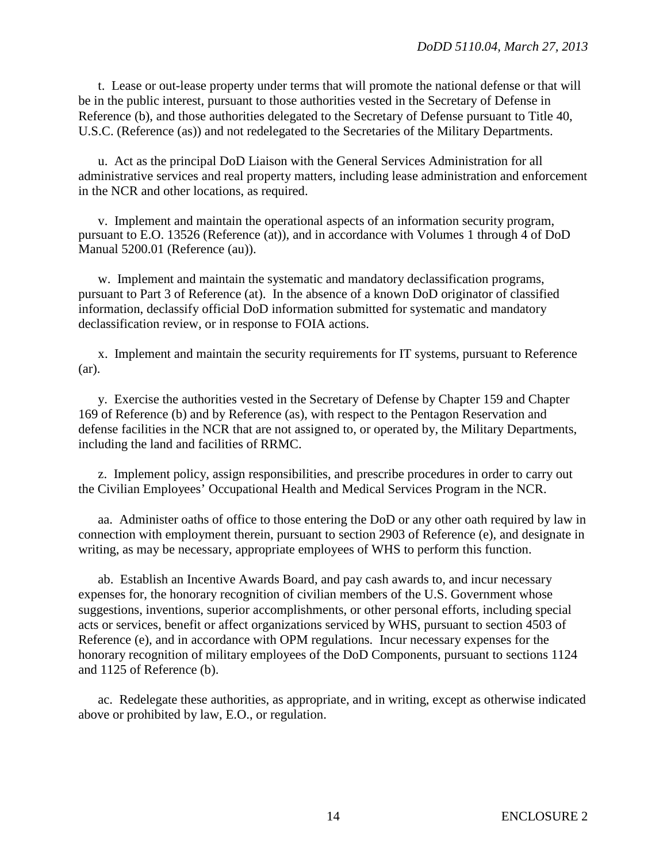t. Lease or out-lease property under terms that will promote the national defense or that will be in the public interest, pursuant to those authorities vested in the Secretary of Defense in Reference (b), and those authorities delegated to the Secretary of Defense pursuant to Title 40, U.S.C. (Reference (as)) and not redelegated to the Secretaries of the Military Departments.

u. Act as the principal DoD Liaison with the General Services Administration for all administrative services and real property matters, including lease administration and enforcement in the NCR and other locations, as required.

v. Implement and maintain the operational aspects of an information security program, pursuant to E.O. 13526 (Reference (at)), and in accordance with Volumes 1 through 4 of DoD Manual 5200.01 (Reference (au)).

w. Implement and maintain the systematic and mandatory declassification programs, pursuant to Part 3 of Reference (at). In the absence of a known DoD originator of classified information, declassify official DoD information submitted for systematic and mandatory declassification review, or in response to FOIA actions.

x. Implement and maintain the security requirements for IT systems, pursuant to Reference (ar).

y. Exercise the authorities vested in the Secretary of Defense by Chapter 159 and Chapter 169 of Reference (b) and by Reference (as), with respect to the Pentagon Reservation and defense facilities in the NCR that are not assigned to, or operated by, the Military Departments, including the land and facilities of RRMC.

z. Implement policy, assign responsibilities, and prescribe procedures in order to carry out the Civilian Employees' Occupational Health and Medical Services Program in the NCR.

aa. Administer oaths of office to those entering the DoD or any other oath required by law in connection with employment therein, pursuant to section 2903 of Reference (e), and designate in writing, as may be necessary, appropriate employees of WHS to perform this function.

ab. Establish an Incentive Awards Board, and pay cash awards to, and incur necessary expenses for, the honorary recognition of civilian members of the U.S. Government whose suggestions, inventions, superior accomplishments, or other personal efforts, including special acts or services, benefit or affect organizations serviced by WHS, pursuant to section 4503 of Reference (e), and in accordance with OPM regulations. Incur necessary expenses for the honorary recognition of military employees of the DoD Components, pursuant to sections 1124 and 1125 of Reference (b).

ac. Redelegate these authorities, as appropriate, and in writing, except as otherwise indicated above or prohibited by law, E.O., or regulation.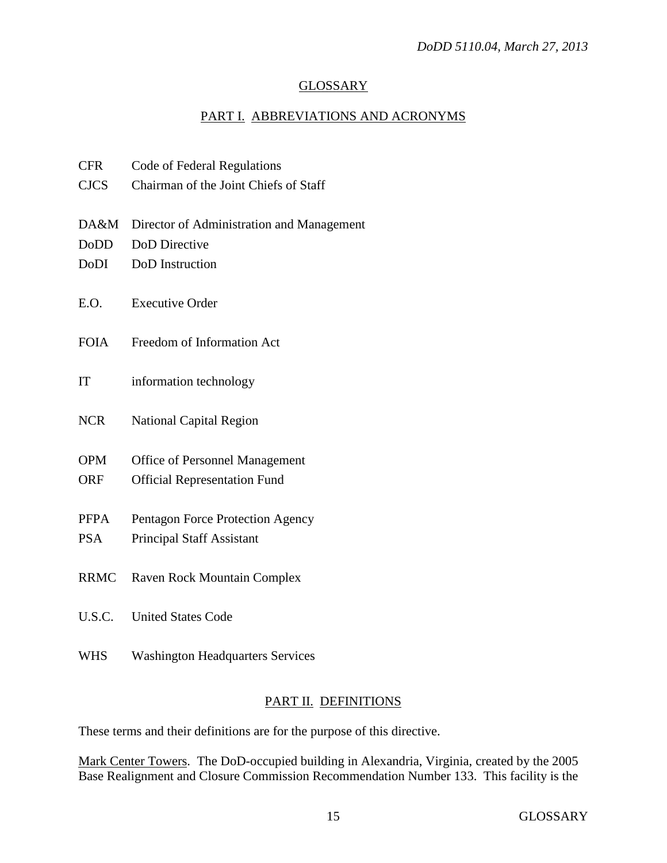### **GLOSSARY**

## PART I. ABBREVIATIONS AND ACRONYMS

| <b>CFR</b>  | Code of Federal Regulations               |
|-------------|-------------------------------------------|
| <b>CJCS</b> | Chairman of the Joint Chiefs of Staff     |
|             |                                           |
| DA&M        | Director of Administration and Management |
| DoDD        | DoD Directive                             |
| DoDI        | DoD Instruction                           |
|             |                                           |
| E.O.        | <b>Executive Order</b>                    |
|             |                                           |
| <b>FOIA</b> | Freedom of Information Act                |
|             |                                           |
| IT          | information technology                    |
|             |                                           |
| <b>NCR</b>  | <b>National Capital Region</b>            |
|             |                                           |
| <b>OPM</b>  | <b>Office of Personnel Management</b>     |
| ORF         | <b>Official Representation Fund</b>       |
|             |                                           |
| <b>PFPA</b> | Pentagon Force Protection Agency          |
| <b>PSA</b>  | <b>Principal Staff Assistant</b>          |
|             |                                           |
| <b>RRMC</b> | Raven Rock Mountain Complex               |
|             | <b>United States Code</b>                 |
| U.S.C.      |                                           |
|             |                                           |

WHS Washington Headquarters Services

## PART II. DEFINITIONS

These terms and their definitions are for the purpose of this directive.

Mark Center Towers. The DoD-occupied building in Alexandria, Virginia, created by the 2005 Base Realignment and Closure Commission Recommendation Number 133. This facility is the